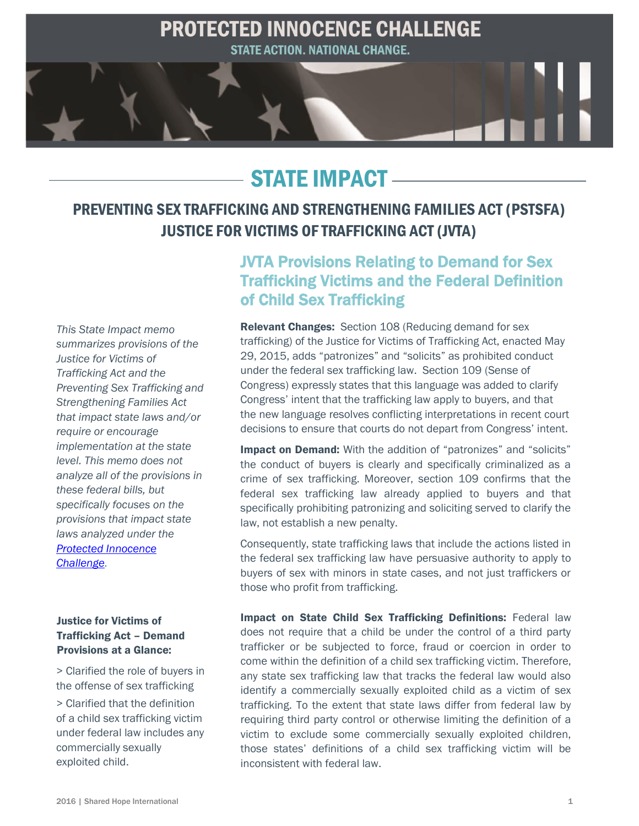

# STATE IMPACT

# PREVENTING SEX TRAFFICKING AND STRENGTHENING FAMILIES ACT (PSTSFA) JUSTICE FOR VICTIMS OF TRAFFICKING ACT (JVTA)

*This State Impact memo summarizes provisions of the Justice for Victims of Trafficking Act and the Preventing Sex Trafficking and Strengthening Families Act that impact state laws and/or require or encourage implementation at the state level. This memo does not analyze all of the provisions in these federal bills, but specifically focuses on the provisions that impact state laws analyzed under the [Protected Innocence](http://sharedhope.org/what-we-do/bring-justice/reportcards/)  [Challenge.](http://sharedhope.org/what-we-do/bring-justice/reportcards/)* 

### Justice for Victims of Trafficking Act – Demand Provisions at a Glance:

> Clarified the role of buyers in the offense of sex trafficking > Clarified that the definition of a child sex trafficking victim under federal law includes any commercially sexually exploited child.

# JVTA Provisions Relating to Demand for Sex Trafficking Victims and the Federal Definition of Child Sex Trafficking

Relevant Changes: Section 108 (Reducing demand for sex trafficking) of the Justice for Victims of Trafficking Act, enacted May 29, 2015, adds "patronizes" and "solicits" as prohibited conduct under the federal sex trafficking law. Section 109 (Sense of Congress) expressly states that this language was added to clarify Congress' intent that the trafficking law apply to buyers, and that the new language resolves conflicting interpretations in recent court decisions to ensure that courts do not depart from Congress' intent.

Impact on Demand: With the addition of "patronizes" and "solicits" the conduct of buyers is clearly and specifically criminalized as a crime of sex trafficking. Moreover, section 109 confirms that the federal sex trafficking law already applied to buyers and that specifically prohibiting patronizing and soliciting served to clarify the law, not establish a new penalty.

Consequently, state trafficking laws that include the actions listed in the federal sex trafficking law have persuasive authority to apply to buyers of sex with minors in state cases, and not just traffickers or those who profit from trafficking.

Impact on State Child Sex Trafficking Definitions: Federal law does not require that a child be under the control of a third party trafficker or be subjected to force, fraud or coercion in order to come within the definition of a child sex trafficking victim. Therefore, any state sex trafficking law that tracks the federal law would also identify a commercially sexually exploited child as a victim of sex trafficking. To the extent that state laws differ from federal law by requiring third party control or otherwise limiting the definition of a victim to exclude some commercially sexually exploited children, those states' definitions of a child sex trafficking victim will be inconsistent with federal law.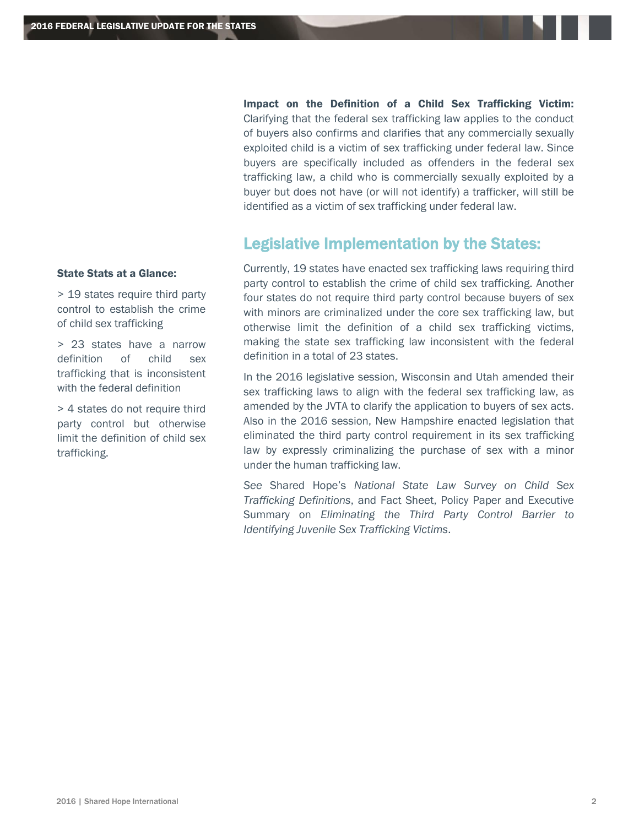Impact on the Definition of a Child Sex Trafficking Victim: Clarifying that the federal sex trafficking law applies to the conduct of buyers also confirms and clarifies that any commercially sexually exploited child is a victim of sex trafficking under federal law. Since buyers are specifically included as offenders in the federal sex trafficking law, a child who is commercially sexually exploited by a buyer but does not have (or will not identify) a trafficker, will still be identified as a victim of sex trafficking under federal law.

# Legislative Implementation by the States:

#### State Stats at a Glance:

> 19 states require third party control to establish the crime of child sex trafficking

> 23 states have a narrow definition of child sex trafficking that is inconsistent with the federal definition

> 4 states do not require third party control but otherwise limit the definition of child sex trafficking.

 Currently, 19 states have enacted sex trafficking laws requiring third party control to establish the crime of child sex trafficking. Another four states do not require third party control because buyers of sex with minors are criminalized under the core sex trafficking law, but otherwise limit the definition of a child sex trafficking victims, making the state sex trafficking law inconsistent with the federal definition in a total of 23 states.

In the 2016 legislative session, Wisconsin and Utah amended their sex trafficking laws to align with the federal sex trafficking law, as amended by the JVTA to clarify the application to buyers of sex acts. Also in the 2016 session, New Hampshire enacted legislation that eliminated the third party control requirement in its sex trafficking law by expressly criminalizing the purchase of sex with a minor under the human trafficking law.

*See* Shared Hope's *National State Law Survey on Child Sex Trafficking Definitions*, and Fact Sheet, Policy Paper and Executive Summary on *Eliminating the Third Party Control Barrier to Identifying Juvenile Sex Trafficking Victims*.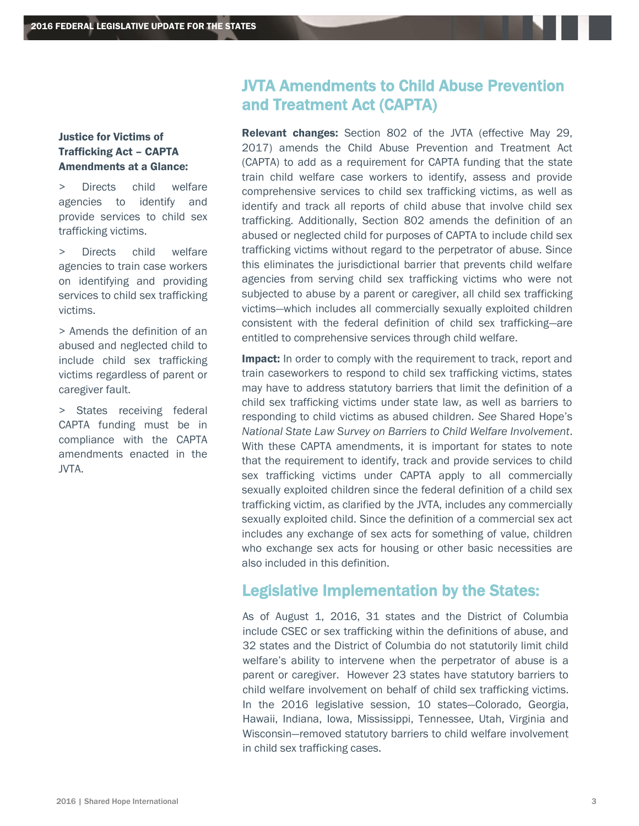### Justice for Victims of Trafficking Act – CAPTA Amendments at a Glance:

> Directs child welfare agencies to identify and provide services to child sex trafficking victims.

> Directs child welfare agencies to train case workers on identifying and providing services to child sex trafficking victims.

> Amends the definition of an abused and neglected child to include child sex trafficking victims regardless of parent or caregiver fault.

> States receiving federal CAPTA funding must be in compliance with the CAPTA amendments enacted in the JVTA.

# JVTA Amendments to Child Abuse Prevention and Treatment Act (CAPTA)

Relevant changes: Section 802 of the JVTA (effective May 29, 2017) amends the Child Abuse Prevention and Treatment Act (CAPTA) to add as a requirement for CAPTA funding that the state train child welfare case workers to identify, assess and provide comprehensive services to child sex trafficking victims, as well as identify and track all reports of child abuse that involve child sex trafficking. Additionally, Section 802 amends the definition of an abused or neglected child for purposes of CAPTA to include child sex trafficking victims without regard to the perpetrator of abuse. Since this eliminates the jurisdictional barrier that prevents child welfare agencies from serving child sex trafficking victims who were not subjected to abuse by a parent or caregiver, all child sex trafficking victims—which includes all commercially sexually exploited children consistent with the federal definition of child sex trafficking—are entitled to comprehensive services through child welfare.

Impact: In order to comply with the requirement to track, report and train caseworkers to respond to child sex trafficking victims, states may have to address statutory barriers that limit the definition of a child sex trafficking victims under state law, as well as barriers to responding to child victims as abused children. *See* Shared Hope's *National State Law Survey on Barriers to Child Welfare Involvement*. With these CAPTA amendments, it is important for states to note that the requirement to identify, track and provide services to child sex trafficking victims under CAPTA apply to all commercially sexually exploited children since the federal definition of a child sex trafficking victim, as clarified by the JVTA, includes any commercially sexually exploited child. Since the definition of a commercial sex act includes any exchange of sex acts for something of value, children who exchange sex acts for housing or other basic necessities are also included in this definition.

## Legislative Implementation by the States:

As of August 1, 2016, 31 states and the District of Columbia include CSEC or sex trafficking within the definitions of abuse, and 32 states and the District of Columbia do not statutorily limit child welfare's ability to intervene when the perpetrator of abuse is a parent or caregiver. However 23 states have statutory barriers to child welfare involvement on behalf of child sex trafficking victims. In the 2016 legislative session, 10 states—Colorado, Georgia, Hawaii, Indiana, Iowa, Mississippi, Tennessee, Utah, Virginia and Wisconsin—removed statutory barriers to child welfare involvement in child sex trafficking cases.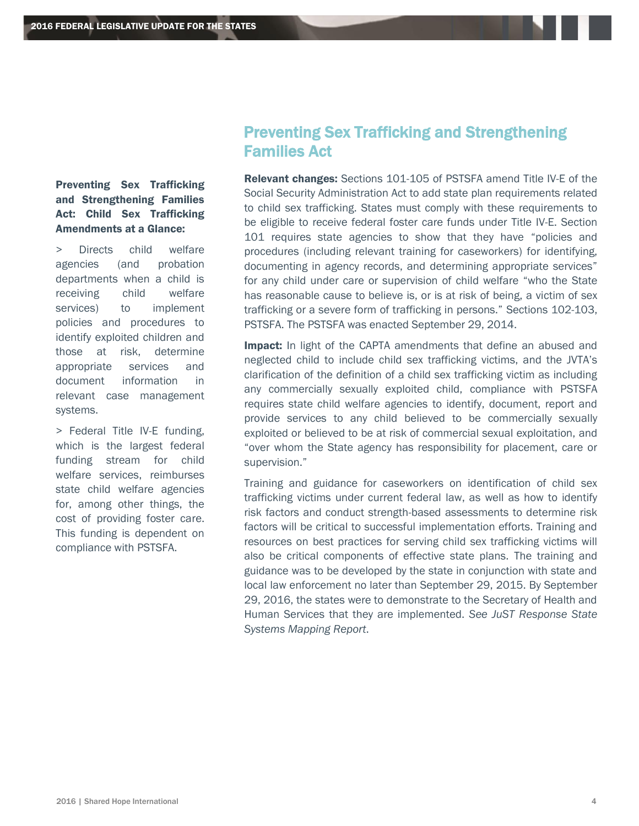## Preventing Sex Trafficking and Strengthening Families Act: Child Sex Trafficking Amendments at a Glance:

> Directs child welfare agencies (and probation departments when a child is receiving child welfare services) to implement policies and procedures to identify exploited children and those at risk, determine appropriate services and document information in relevant case management systems.

> Federal Title IV-E funding, which is the largest federal funding stream for child welfare services, reimburses state child welfare agencies for, among other things, the cost of providing foster care. This funding is dependent on compliance with PSTSFA.

# Preventing Sex Trafficking and Strengthening Families Act

**Relevant changes:** Sections 101-105 of PSTSFA amend Title IV-E of the Social Security Administration Act to add state plan requirements related to child sex trafficking. States must comply with these requirements to be eligible to receive federal foster care funds under Title IV-E. Section 101 requires state agencies to show that they have "policies and procedures (including relevant training for caseworkers) for identifying, documenting in agency records, and determining appropriate services" for any child under care or supervision of child welfare "who the State has reasonable cause to believe is, or is at risk of being, a victim of sex trafficking or a severe form of trafficking in persons." Sections 102-103, PSTSFA. The PSTSFA was enacted September 29, 2014.

**Impact:** In light of the CAPTA amendments that define an abused and neglected child to include child sex trafficking victims, and the JVTA's clarification of the definition of a child sex trafficking victim as including any commercially sexually exploited child, compliance with PSTSFA requires state child welfare agencies to identify, document, report and provide services to any child believed to be commercially sexually exploited or believed to be at risk of commercial sexual exploitation, and "over whom the State agency has responsibility for placement, care or supervision."

Training and guidance for caseworkers on identification of child sex trafficking victims under current federal law, as well as how to identify risk factors and conduct strength-based assessments to determine risk factors will be critical to successful implementation efforts. Training and resources on best practices for serving child sex trafficking victims will also be critical components of effective state plans. The training and guidance was to be developed by the state in conjunction with state and local law enforcement no later than September 29, 2015. By September 29, 2016, the states were to demonstrate to the Secretary of Health and Human Services that they are implemented. *See JuST Response State Systems Mapping Report*.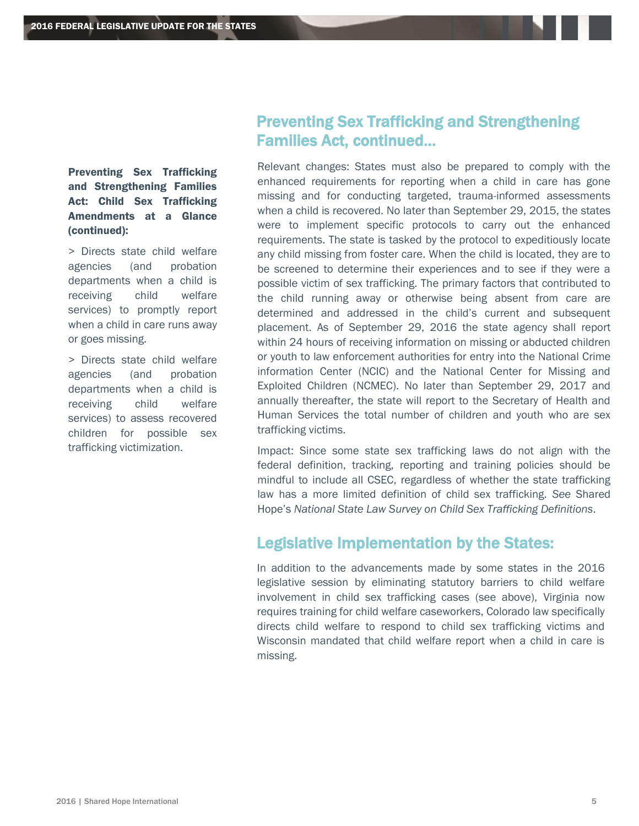Preventing Sex Trafficking and Strengthening Families Act: Child Sex Trafficking Amendments at a Glance (continued):

> Directs state child welfare agencies (and probation departments when a child is receiving child welfare services) to promptly report when a child in care runs away or goes missing.

> Directs state child welfare agencies (and probation departments when a child is receiving child welfare services) to assess recovered children for possible sex trafficking victimization.

# Preventing Sex Trafficking and Strengthening Families Act, continued…

Relevant changes: States must also be prepared to comply with the enhanced requirements for reporting when a child in care has gone missing and for conducting targeted, trauma-informed assessments when a child is recovered. No later than September 29, 2015, the states were to implement specific protocols to carry out the enhanced requirements. The state is tasked by the protocol to expeditiously locate any child missing from foster care. When the child is located, they are to be screened to determine their experiences and to see if they were a possible victim of sex trafficking. The primary factors that contributed to the child running away or otherwise being absent from care are determined and addressed in the child's current and subsequent placement. As of September 29, 2016 the state agency shall report within 24 hours of receiving information on missing or abducted children or youth to law enforcement authorities for entry into the National Crime information Center (NCIC) and the National Center for Missing and Exploited Children (NCMEC). No later than September 29, 2017 and annually thereafter, the state will report to the Secretary of Health and Human Services the total number of children and youth who are sex trafficking victims.

Impact: Since some state sex trafficking laws do not align with the federal definition, tracking, reporting and training policies should be mindful to include all CSEC, regardless of whether the state trafficking law has a more limited definition of child sex trafficking. *See* Shared Hope's *National State Law Survey on Child Sex Trafficking Definitions*.

## Legislative Implementation by the States:

 In addition to the advancements made by some states in the 2016 legislative session by eliminating statutory barriers to child welfare involvement in child sex trafficking cases (see above), Virginia now requires training for child welfare caseworkers, Colorado law specifically directs child welfare to respond to child sex trafficking victims and Wisconsin mandated that child welfare report when a child in care is missing.